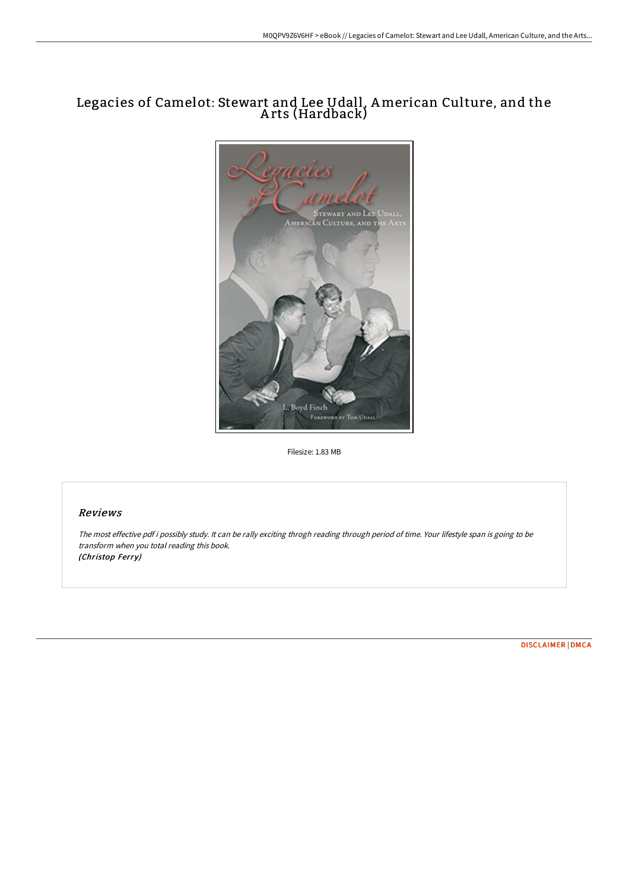# Legacies of Camelot: Stewart and Lee Udall, American Culture, and the A rts (Hardback)



Filesize: 1.83 MB

## Reviews

The most effective pdf i possibly study. It can be rally exciting throgh reading through period of time. Your lifestyle span is going to be transform when you total reading this book. (Christop Ferry)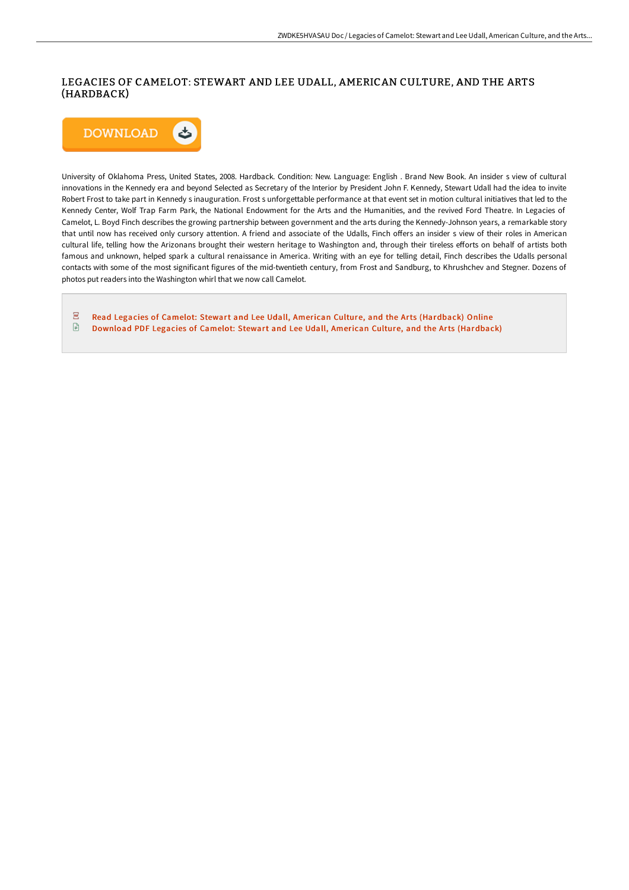### LEGACIES OF CAMELOT: STEWART AND LEE UDALL, AMERICAN CULTURE, AND THE ARTS (HARDBACK)



University of Oklahoma Press, United States, 2008. Hardback. Condition: New. Language: English . Brand New Book. An insider s view of cultural innovations in the Kennedy era and beyond Selected as Secretary of the Interior by President John F. Kennedy, Stewart Udall had the idea to invite Robert Frost to take part in Kennedy s inauguration. Frost s unforgettable performance at that event set in motion cultural initiatives that led to the Kennedy Center, Wolf Trap Farm Park, the National Endowment for the Arts and the Humanities, and the revived Ford Theatre. In Legacies of Camelot, L. Boyd Finch describes the growing partnership between government and the arts during the Kennedy-Johnson years, a remarkable story that until now has received only cursory attention. A friend and associate of the Udalls, Finch offers an insider s view of their roles in American cultural life, telling how the Arizonans brought their western heritage to Washington and, through their tireless efforts on behalf of artists both famous and unknown, helped spark a cultural renaissance in America. Writing with an eye for telling detail, Finch describes the Udalls personal contacts with some of the most significant figures of the mid-twentieth century, from Frost and Sandburg, to Khrushchev and Stegner. Dozens of photos put readers into the Washington whirl that we now call Camelot.

 $\overline{\mathbf{P}^{\text{RF}}}$ Read Legacies of Camelot: Stewart and Lee Udall, American Culture, and the Arts [\(Hardback\)](http://techno-pub.tech/legacies-of-camelot-stewart-and-lee-udall-americ.html) Online  $\ensuremath{\boxdot}$ Download PDF Legacies of Camelot: Stewart and Lee Udall, American Culture, and the Arts [\(Hardback\)](http://techno-pub.tech/legacies-of-camelot-stewart-and-lee-udall-americ.html)